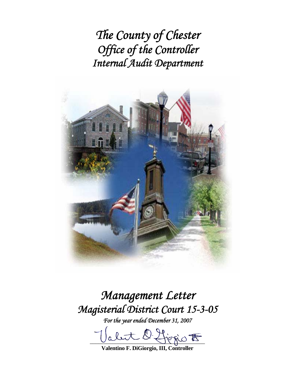*The County of Chester Office of the Controller Internal Audit Department*



*Management Letter Magisterial District Court 15-3-05* 

*For the year ended December 31, 2007* 

 $D$  figges  $\overline{E}$ 

**Valentino F. DiGiorgio, III, Controller**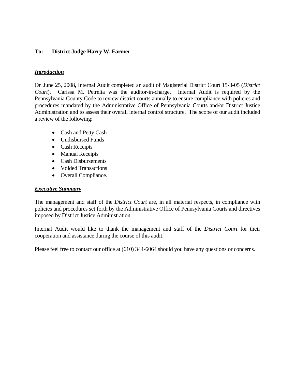## **To: District Judge Harry W. Farmer**

#### *Introduction*

On June 25, 2008, Internal Audit completed an audit of Magisterial District Court 15-3-05 (*District Court*). Carissa M. Petrelia was the auditor-in-charge. Internal Audit is required by the Pennsylvania County Code to review district courts annually to ensure compliance with policies and procedures mandated by the Administrative Office of Pennsylvania Courts and/or District Justice Administration and to assess their overall internal control structure. The scope of our audit included a review of the following:

- Cash and Petty Cash
- Undisbursed Funds
- Cash Receipts
- Manual Receipts
- Cash Disbursements
- Voided Transactions
- Overall Compliance.

#### *Executive Summary*

The management and staff of the *District Court* are, in all material respects, in compliance with policies and procedures set forth by the Administrative Office of Pennsylvania Courts and directives imposed by District Justice Administration.

Internal Audit would like to thank the management and staff of the *District Court* for their cooperation and assistance during the course of this audit.

Please feel free to contact our office at (610) 344-6064 should you have any questions or concerns.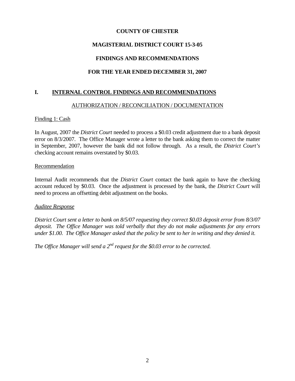## **COUNTY OF CHESTER**

## **MAGISTERIAL DISTRICT COURT 15-3-05**

## **FINDINGS AND RECOMMENDATIONS**

# **FOR THE YEAR ENDED DECEMBER 31, 2007**

## **I. INTERNAL CONTROL FINDINGS AND RECOMMENDATIONS**

## AUTHORIZATION / RECONCILIATION / DOCUMENTATION

## Finding 1: Cash

In August, 2007 the *District Court* needed to process a \$0.03 credit adjustment due to a bank deposit error on 8/3/2007. The Office Manager wrote a letter to the bank asking them to correct the matter in September, 2007, however the bank did not follow through. As a result, the *District Court's*  checking account remains overstated by \$0.03.

#### Recommendation

Internal Audit recommends that the *District Court* contact the bank again to have the checking account reduced by \$0.03. Once the adjustment is processed by the bank, the *District Court* will need to process an offsetting debit adjustment on the books.

#### *Auditee Response*

*District Court sent a letter to bank on 8/5/07 requesting they correct \$0.03 deposit error from 8/3/07 deposit. The Office Manager was told verbally that they do not make adjustments for any errors under \$1.00. The Office Manager asked that the policy be sent to her in writing and they denied it.* 

*The Office Manager will send a 2<sup>nd</sup> request for the \$0.03 error to be corrected.*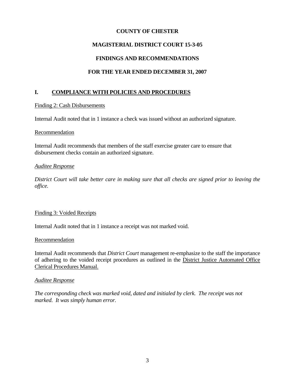## **COUNTY OF CHESTER**

## **MAGISTERIAL DISTRICT COURT 15-3-05**

## **FINDINGS AND RECOMMENDATIONS**

## **FOR THE YEAR ENDED DECEMBER 31, 2007**

## **I. COMPLIANCE WITH POLICIES AND PROCEDURES**

#### Finding 2: Cash Disbursements

Internal Audit noted that in 1 instance a check was issued without an authorized signature.

#### Recommendation

Internal Audit recommends that members of the staff exercise greater care to ensure that disbursement checks contain an authorized signature.

#### *Auditee Response*

*District Court will take better care in making sure that all checks are signed prior to leaving the office.* 

#### Finding 3: Voided Receipts

Internal Audit noted that in 1 instance a receipt was not marked void.

#### Recommendation

Internal Audit recommends that *District Court* management re-emphasize to the staff the importance of adhering to the voided receipt procedures as outlined in the District Justice Automated Office Clerical Procedures Manual.

#### *Auditee Response*

*The corresponding check was marked void, dated and initialed by clerk. The receipt was not marked. It was simply human error.*